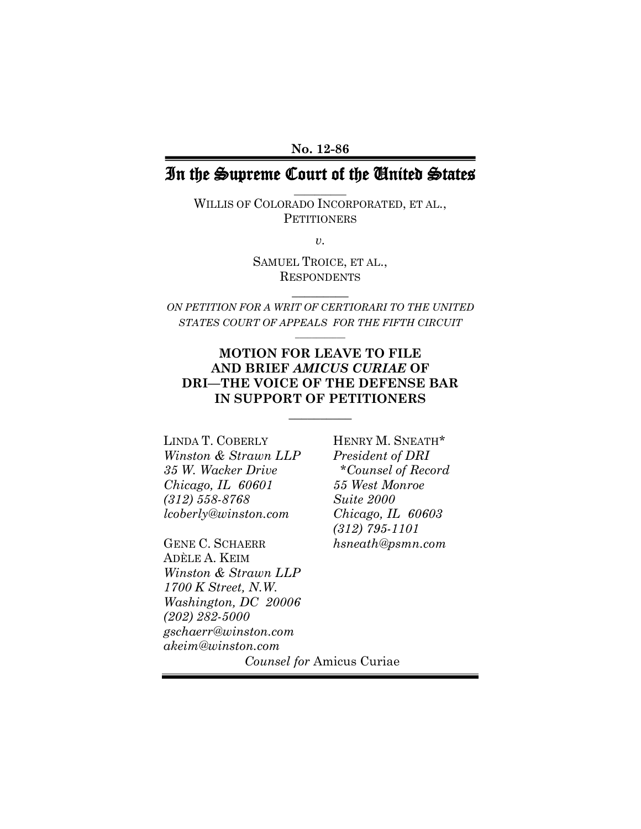### **No. 12-86**

## In the Supreme Court of the United States **\_\_\_\_\_\_\_\_\_\_**

WILLIS OF COLORADO INCORPORATED, ET AL., **PETITIONERS** 

*v.*

SAMUEL TROICE, ET AL., **RESPONDENTS** 

*ON PETITION FOR A WRIT OF CERTIORARI TO THE UNITED STATES COURT OF APPEALS FOR THE FIFTH CIRCUIT* **\_\_\_\_\_\_\_\_\_\_\_\_**

**\_\_\_\_\_\_\_\_\_**

### **MOTION FOR LEAVE TO FILE AND BRIEF** *AMICUS CURIAE* **OF DRI—THE VOICE OF THE DEFENSE BAR IN SUPPORT OF PETITIONERS**

 $\overline{\phantom{a}}$ 

LINDA T. COBERLY HENRY M. SNEATH\* *Winston & Strawn LLP President of DRI 35 W. Wacker Drive \*Counsel of Record Chicago, IL 60601 55 West Monroe (312) 558-8768 Suite 2000 lcoberly@winston.com Chicago, IL 60603*

GENE C. SCHAERR *hsneath@psmn.com* ADÈLE A. KEIM *Winston & Strawn LLP 1700 K Street, N.W. Washington, DC 20006 (202) 282-5000 gschaerr@winston.com akeim@winston.com*

*(312) 795-1101*

*Counsel for* Amicus Curiae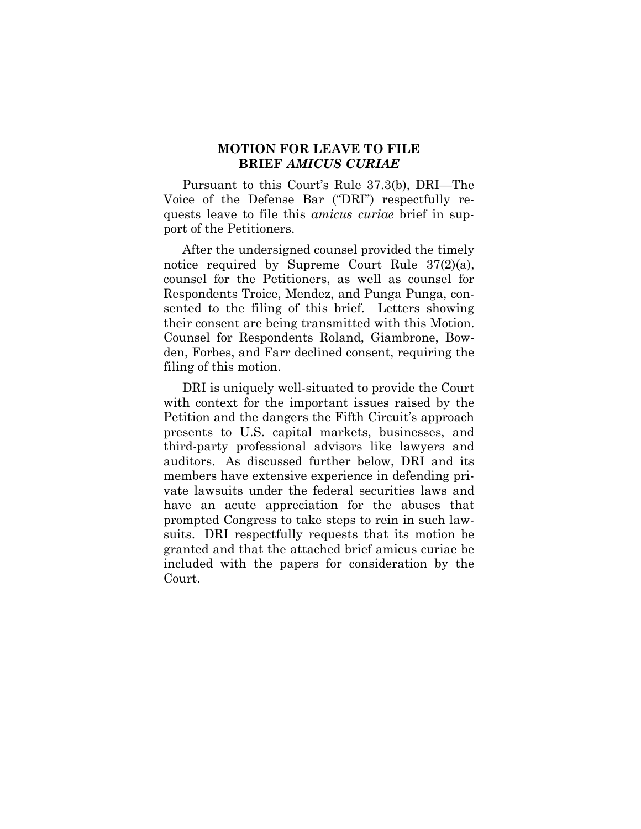### **MOTION FOR LEAVE TO FILE BRIEF** *AMICUS CURIAE*

Pursuant to this Court's Rule 37.3(b), DRI—The Voice of the Defense Bar ("DRI") respectfully requests leave to file this *amicus curiae* brief in support of the Petitioners.

After the undersigned counsel provided the timely notice required by Supreme Court Rule 37(2)(a), counsel for the Petitioners, as well as counsel for Respondents Troice, Mendez, and Punga Punga, consented to the filing of this brief. Letters showing their consent are being transmitted with this Motion. Counsel for Respondents Roland, Giambrone, Bowden, Forbes, and Farr declined consent, requiring the filing of this motion.

DRI is uniquely well-situated to provide the Court with context for the important issues raised by the Petition and the dangers the Fifth Circuit's approach presents to U.S. capital markets, businesses, and third-party professional advisors like lawyers and auditors. As discussed further below, DRI and its members have extensive experience in defending private lawsuits under the federal securities laws and have an acute appreciation for the abuses that prompted Congress to take steps to rein in such lawsuits. DRI respectfully requests that its motion be granted and that the attached brief amicus curiae be included with the papers for consideration by the Court.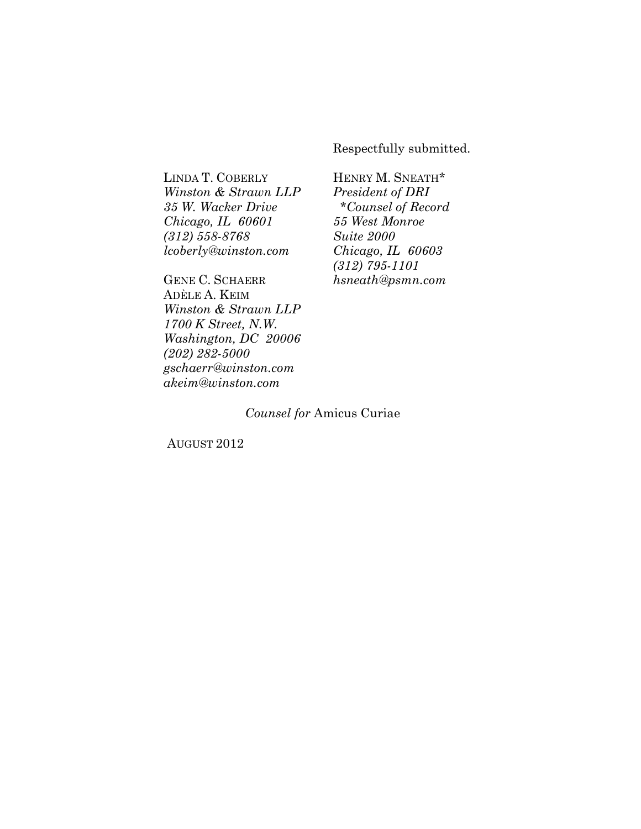Respectfully submitted.

LINDA T. COBERLY HENRY M. SNEATH\* *Winston & Strawn LLP President of DRI 35 W. Wacker Drive \*Counsel of Record Chicago, IL 60601 55 West Monroe (312) 558-8768 Suite 2000 lcoberly@winston.com Chicago, IL 60603*

GENE C. SCHAERR *hsneath@psmn.com* ADÈLE A. KEIM *Winston & Strawn LLP 1700 K Street, N.W. Washington, DC 20006 (202) 282-5000 gschaerr@winston.com akeim@winston.com*

*(312) 795-1101*

### *Counsel for* Amicus Curiae

AUGUST 2012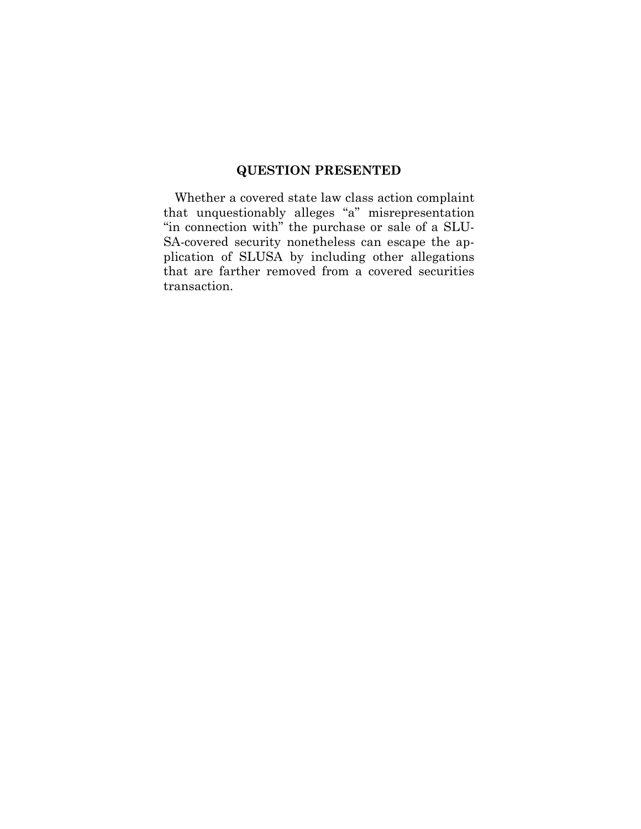## **QUESTION PRESENTED**

Whether a covered state law class action complaint that unquestionably alleges "a" misrepresentation "in connection with" the purchase or sale of a SLU-SA-covered security nonetheless can escape the application of SLUSA by including other allegations that are farther removed from a covered securities transaction.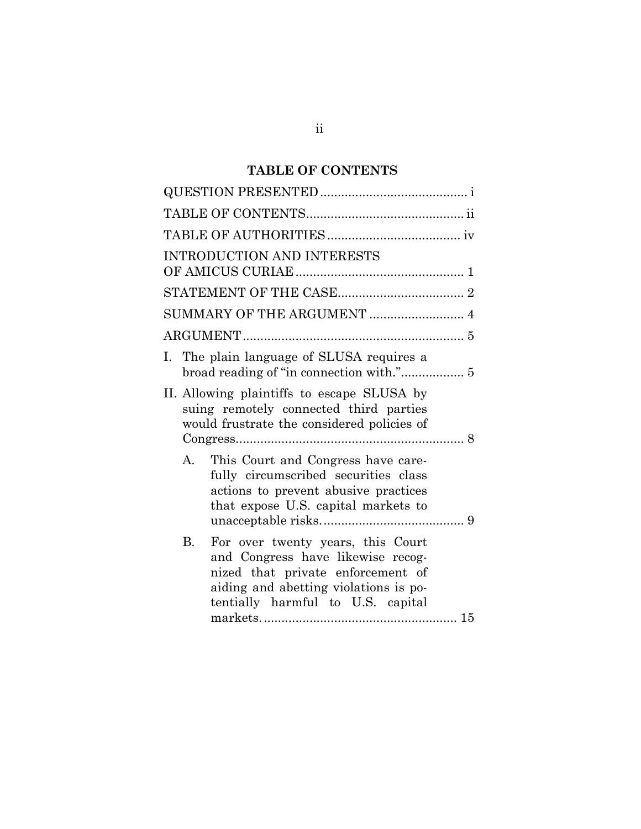# **TABLE OF CONTENTS**

| <b>INTRODUCTION AND INTERESTS</b>                                                                                                                                                                      |
|--------------------------------------------------------------------------------------------------------------------------------------------------------------------------------------------------------|
|                                                                                                                                                                                                        |
|                                                                                                                                                                                                        |
|                                                                                                                                                                                                        |
| The plain language of SLUSA requires a<br>Ι.                                                                                                                                                           |
| II. Allowing plaintiffs to escape SLUSA by<br>suing remotely connected third parties<br>would frustrate the considered policies of                                                                     |
| А.<br>This Court and Congress have care-<br>fully circumscribed securities class<br>actions to prevent abusive practices<br>that expose U.S. capital markets to                                        |
| <b>B.</b><br>For over twenty years, this Court<br>and Congress have likewise recog-<br>nized that private enforcement of<br>aiding and abetting violations is po-<br>tentially harmful to U.S. capital |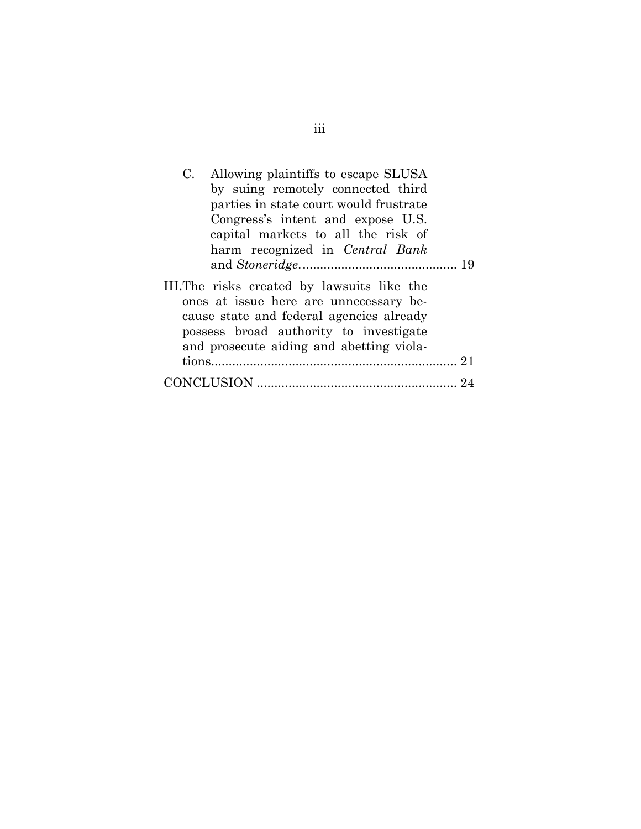| Allowing plaintiffs to escape SLUSA<br>C.                                                                                                                                                                               |  |
|-------------------------------------------------------------------------------------------------------------------------------------------------------------------------------------------------------------------------|--|
| by suing remotely connected third                                                                                                                                                                                       |  |
| parties in state court would frustrate                                                                                                                                                                                  |  |
| Congress's intent and expose U.S.                                                                                                                                                                                       |  |
| capital markets to all the risk of                                                                                                                                                                                      |  |
| harm recognized in Central Bank                                                                                                                                                                                         |  |
|                                                                                                                                                                                                                         |  |
| III. The risks created by lawsuits like the<br>ones at issue here are unnecessary be-<br>cause state and federal agencies already<br>possess broad authority to investigate<br>and prosecute aiding and abetting viola- |  |
|                                                                                                                                                                                                                         |  |
|                                                                                                                                                                                                                         |  |

# iii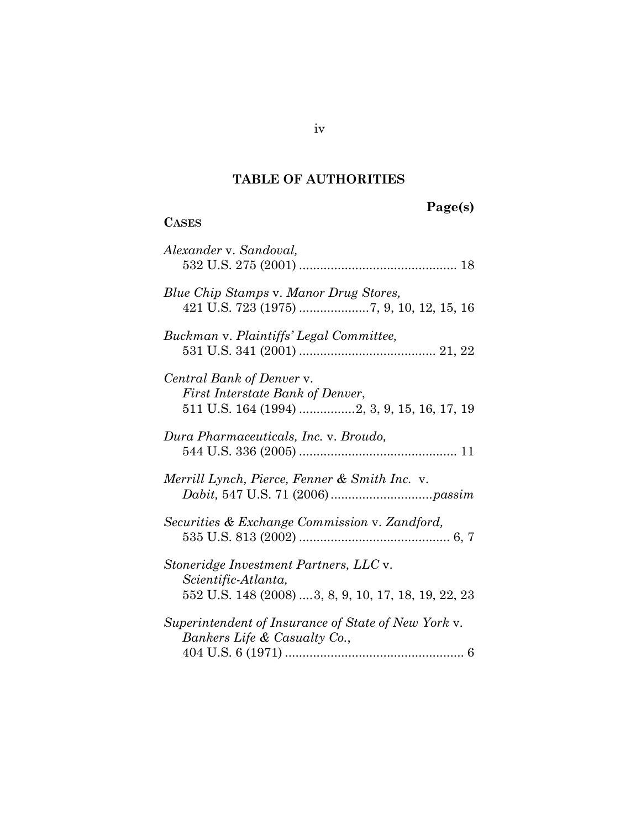## **TABLE OF AUTHORITIES**

## **CASES**

# **Page(s)**

| Alexander v. Sandoval,                                                                                               |
|----------------------------------------------------------------------------------------------------------------------|
| Blue Chip Stamps v. Manor Drug Stores,                                                                               |
| Buckman v. Plaintiffs' Legal Committee,                                                                              |
| Central Bank of Denver v.<br>First Interstate Bank of Denver,                                                        |
| Dura Pharmaceuticals, Inc. v. Broudo,                                                                                |
| Merrill Lynch, Pierce, Fenner & Smith Inc. v.                                                                        |
| Securities & Exchange Commission v. Zandford,                                                                        |
| Stoneridge Investment Partners, LLC v.<br>Scientific-Atlanta,<br>552 U.S. 148 (2008) 3, 8, 9, 10, 17, 18, 19, 22, 23 |
| Superintendent of Insurance of State of New York v.<br>Bankers Life & Casualty Co.,                                  |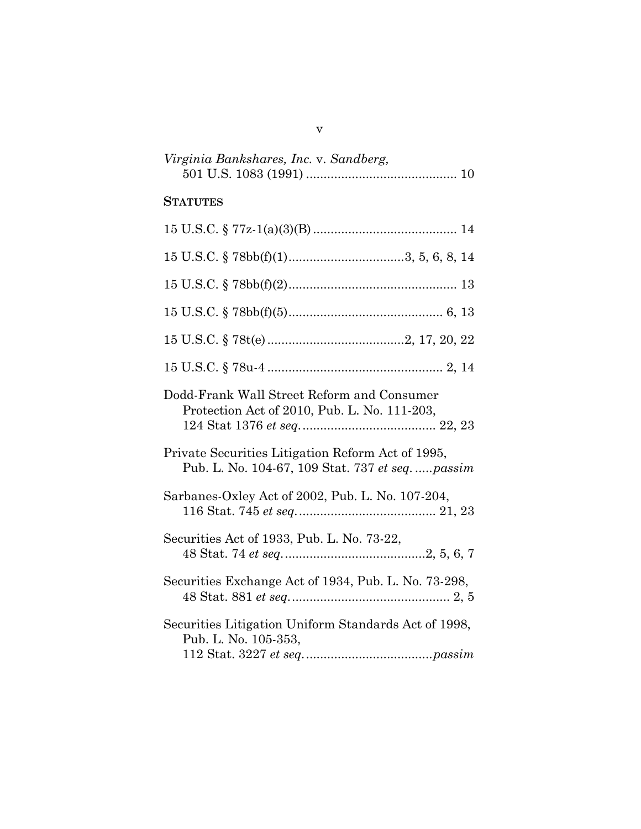| Virginia Bankshares, Inc. v. Sandberg, |  |
|----------------------------------------|--|
|                                        |  |

## **STATUTES**

| $15$ U.S.C. § $78bb(f)(1)$ 3, 5, 6, 8, 14                                                           |
|-----------------------------------------------------------------------------------------------------|
|                                                                                                     |
|                                                                                                     |
|                                                                                                     |
|                                                                                                     |
| Dodd-Frank Wall Street Reform and Consumer<br>Protection Act of 2010, Pub. L. No. 111-203,          |
| Private Securities Litigation Reform Act of 1995,<br>Pub. L. No. 104-67, 109 Stat. 737 et seqpassim |
| Sarbanes-Oxley Act of 2002, Pub. L. No. 107-204,                                                    |
| Securities Act of 1933, Pub. L. No. 73-22,                                                          |
| Securities Exchange Act of 1934, Pub. L. No. 73-298,                                                |
| Securities Litigation Uniform Standards Act of 1998,<br>Pub. L. No. 105-353,                        |

v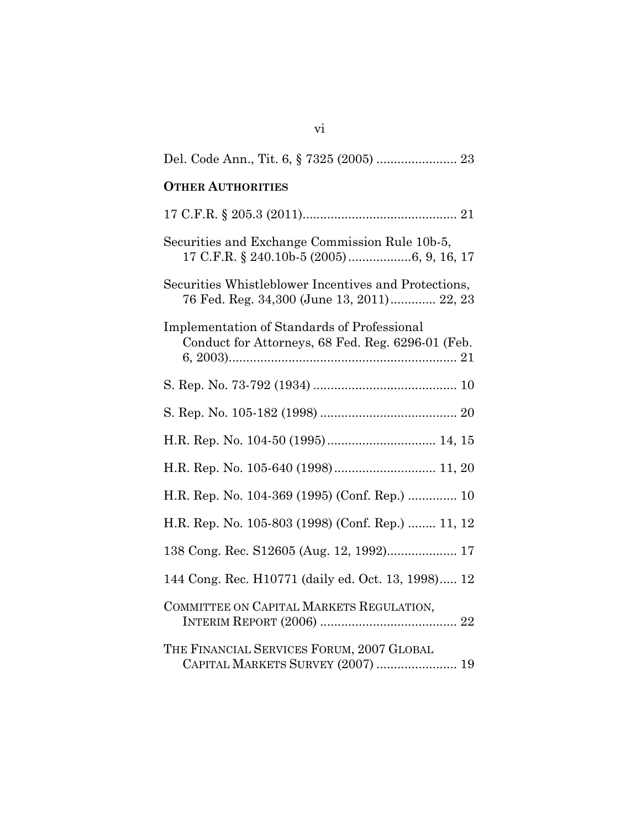| <b>OTHER AUTHORITIES</b>                                                                                |
|---------------------------------------------------------------------------------------------------------|
|                                                                                                         |
| Securities and Exchange Commission Rule 10b-5,<br>17 C.F.R. § 240.10b-5 (2005)6, 9, 16, 17              |
| Securities Whistleblower Incentives and Protections,<br>76 Fed. Reg. 34,300 (June 13, 2011) 22, 23      |
| <b>Implementation of Standards of Professional</b><br>Conduct for Attorneys, 68 Fed. Reg. 6296-01 (Feb. |
|                                                                                                         |
|                                                                                                         |
|                                                                                                         |
|                                                                                                         |
| H.R. Rep. No. 104-369 (1995) (Conf. Rep.)  10                                                           |
| H.R. Rep. No. 105-803 (1998) (Conf. Rep.)  11, 12                                                       |
| 138 Cong. Rec. S12605 (Aug. 12, 1992) 17                                                                |
| 144 Cong. Rec. H10771 (daily ed. Oct. 13, 1998) 12                                                      |
| COMMITTEE ON CAPITAL MARKETS REGULATION,                                                                |
| THE FINANCIAL SERVICES FORUM, 2007 GLOBAL<br>CAPITAL MARKETS SURVEY (2007)  19                          |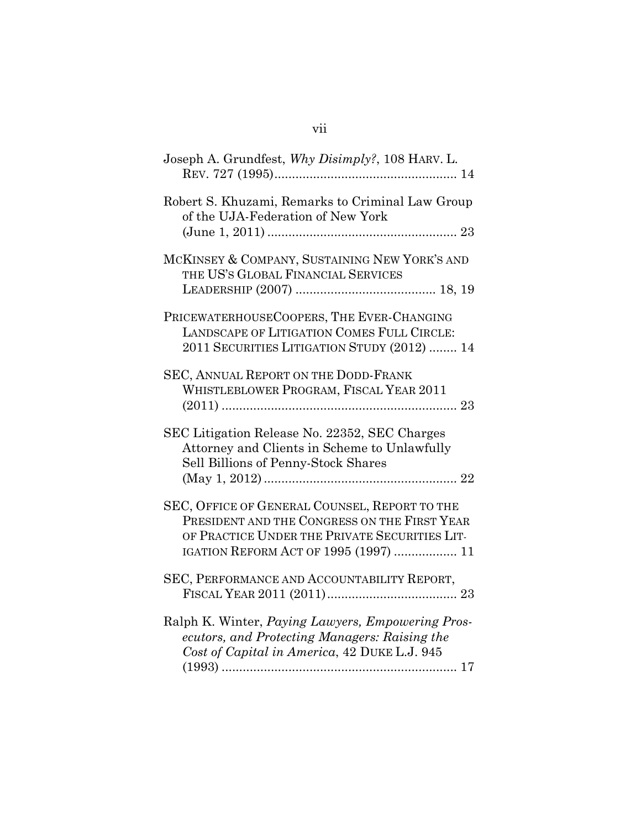| Joseph A. Grundfest, Why Disimply?, 108 HARV. L.                                                                                                                                        |
|-----------------------------------------------------------------------------------------------------------------------------------------------------------------------------------------|
| Robert S. Khuzami, Remarks to Criminal Law Group<br>of the UJA-Federation of New York                                                                                                   |
| MCKINSEY & COMPANY, SUSTAINING NEW YORK'S AND<br>THE US'S GLOBAL FINANCIAL SERVICES                                                                                                     |
| PRICEWATERHOUSECOOPERS, THE EVER-CHANGING<br>LANDSCAPE OF LITIGATION COMES FULL CIRCLE:<br>2011 SECURITIES LITIGATION STUDY (2012)  14                                                  |
| SEC, ANNUAL REPORT ON THE DODD-FRANK<br>WHISTLEBLOWER PROGRAM, FISCAL YEAR 2011                                                                                                         |
| SEC Litigation Release No. 22352, SEC Charges<br>Attorney and Clients in Scheme to Unlawfully<br>Sell Billions of Penny-Stock Shares                                                    |
| SEC, OFFICE OF GENERAL COUNSEL, REPORT TO THE<br>PRESIDENT AND THE CONGRESS ON THE FIRST YEAR<br>OF PRACTICE UNDER THE PRIVATE SECURITIES LIT-<br>IGATION REFORM ACT OF 1995 (1997)  11 |
| SEC, PERFORMANCE AND ACCOUNTABILITY REPORT,                                                                                                                                             |
| Ralph K. Winter, Paying Lawyers, Empowering Pros-<br>ecutors, and Protecting Managers: Raising the<br>Cost of Capital in America, 42 DUKE L.J. 945                                      |
|                                                                                                                                                                                         |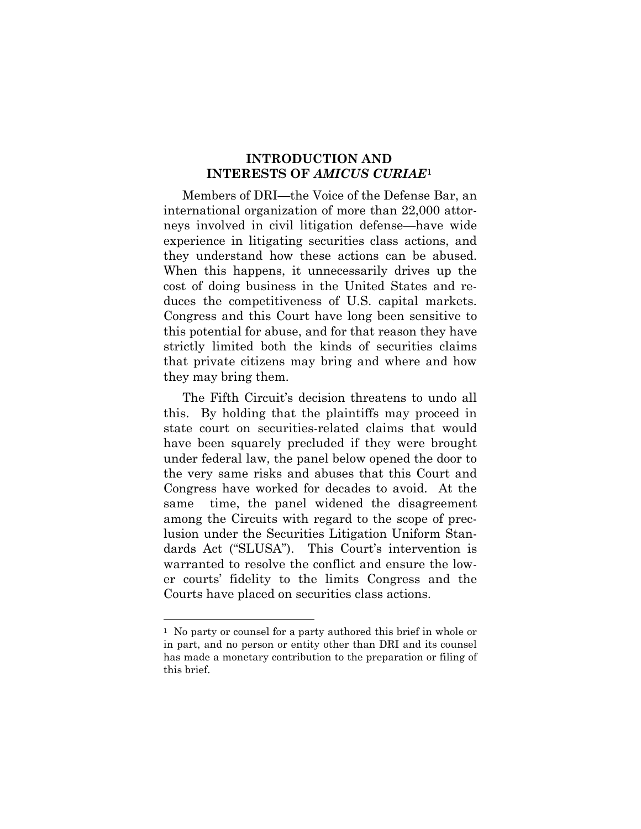### **INTRODUCTION AND INTERESTS OF** *AMICUS CURIAE***[1](#page-10-0)**

Members of DRI—the Voice of the Defense Bar, an international organization of more than 22,000 attorneys involved in civil litigation defense—have wide experience in litigating securities class actions, and they understand how these actions can be abused. When this happens, it unnecessarily drives up the cost of doing business in the United States and reduces the competitiveness of U.S. capital markets. Congress and this Court have long been sensitive to this potential for abuse, and for that reason they have strictly limited both the kinds of securities claims that private citizens may bring and where and how they may bring them.

The Fifth Circuit's decision threatens to undo all this. By holding that the plaintiffs may proceed in state court on securities-related claims that would have been squarely precluded if they were brought under federal law, the panel below opened the door to the very same risks and abuses that this Court and Congress have worked for decades to avoid. At the same time, the panel widened the disagreement among the Circuits with regard to the scope of preclusion under the Securities Litigation Uniform Standards Act ("SLUSA"). This Court's intervention is warranted to resolve the conflict and ensure the lower courts' fidelity to the limits Congress and the Courts have placed on securities class actions.

<span id="page-10-0"></span><sup>&</sup>lt;sup>1</sup> No party or counsel for a party authored this brief in whole or in part, and no person or entity other than DRI and its counsel has made a monetary contribution to the preparation or filing of this brief.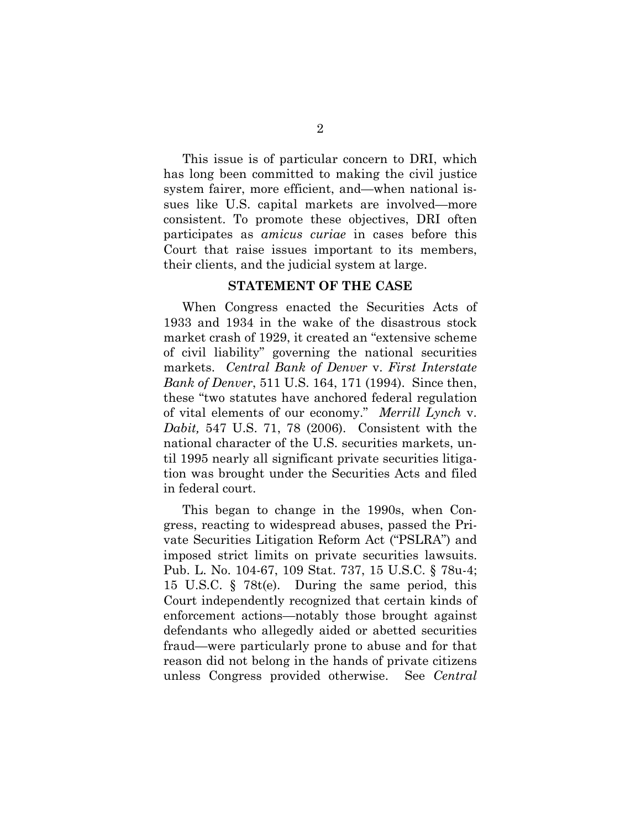This issue is of particular concern to DRI, which has long been committed to making the civil justice system fairer, more efficient, and—when national issues like U.S. capital markets are involved—more consistent. To promote these objectives, DRI often participates as *amicus curiae* in cases before this Court that raise issues important to its members, their clients, and the judicial system at large.

### **STATEMENT OF THE CASE**

When Congress enacted the Securities Acts of 1933 and 1934 in the wake of the disastrous stock market crash of 1929, it created an "extensive scheme of civil liability" governing the national securities markets. *Central Bank of Denver* v. *First Interstate Bank of Denver*, 511 U.S. 164, 171 (1994). Since then, these "two statutes have anchored federal regulation of vital elements of our economy." *Merrill Lynch* v. *Dabit,* 547 U.S. 71, 78 (2006). Consistent with the national character of the U.S. securities markets, until 1995 nearly all significant private securities litigation was brought under the Securities Acts and filed in federal court.

This began to change in the 1990s, when Congress, reacting to widespread abuses, passed the Private Securities Litigation Reform Act ("PSLRA") and imposed strict limits on private securities lawsuits. Pub. L. No. 104-67, 109 Stat. 737, 15 U.S.C. § 78u-4; 15 U.S.C. § 78t(e). During the same period, this Court independently recognized that certain kinds of enforcement actions—notably those brought against defendants who allegedly aided or abetted securities fraud—were particularly prone to abuse and for that reason did not belong in the hands of private citizens unless Congress provided otherwise. See *Central*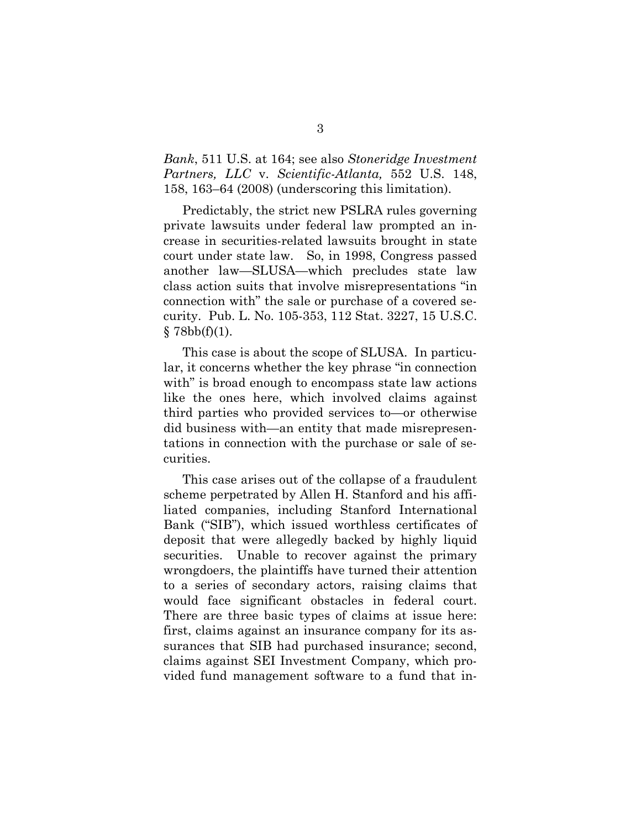*Bank*, 511 U.S. at 164; see also *Stoneridge Investment Partners, LLC* v. *Scientific-Atlanta,* 552 U.S. 148, 158, 163–64 (2008) (underscoring this limitation).

Predictably, the strict new PSLRA rules governing private lawsuits under federal law prompted an increase in securities-related lawsuits brought in state court under state law. So, in 1998, Congress passed another law—SLUSA—which precludes state law class action suits that involve misrepresentations "in connection with" the sale or purchase of a covered security. Pub. L. No. 105-353, 112 Stat. 3227, 15 U.S.C.  $§ 78bb(f)(1).$ 

This case is about the scope of SLUSA. In particular, it concerns whether the key phrase "in connection with" is broad enough to encompass state law actions like the ones here, which involved claims against third parties who provided services to—or otherwise did business with—an entity that made misrepresentations in connection with the purchase or sale of securities.

This case arises out of the collapse of a fraudulent scheme perpetrated by Allen H. Stanford and his affiliated companies, including Stanford International Bank ("SIB"), which issued worthless certificates of deposit that were allegedly backed by highly liquid securities. Unable to recover against the primary wrongdoers, the plaintiffs have turned their attention to a series of secondary actors, raising claims that would face significant obstacles in federal court. There are three basic types of claims at issue here: first, claims against an insurance company for its assurances that SIB had purchased insurance; second, claims against SEI Investment Company, which provided fund management software to a fund that in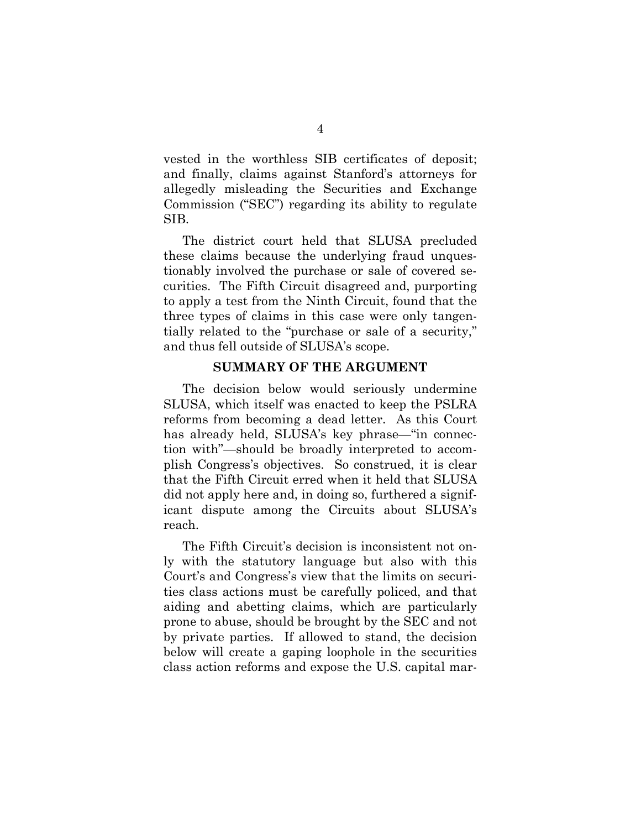vested in the worthless SIB certificates of deposit; and finally, claims against Stanford's attorneys for allegedly misleading the Securities and Exchange Commission ("SEC") regarding its ability to regulate SIB.

The district court held that SLUSA precluded these claims because the underlying fraud unquestionably involved the purchase or sale of covered securities. The Fifth Circuit disagreed and, purporting to apply a test from the Ninth Circuit, found that the three types of claims in this case were only tangentially related to the "purchase or sale of a security," and thus fell outside of SLUSA's scope.

### **SUMMARY OF THE ARGUMENT**

The decision below would seriously undermine SLUSA, which itself was enacted to keep the PSLRA reforms from becoming a dead letter. As this Court has already held, SLUSA's key phrase—"in connection with"—should be broadly interpreted to accomplish Congress's objectives. So construed, it is clear that the Fifth Circuit erred when it held that SLUSA did not apply here and, in doing so, furthered a significant dispute among the Circuits about SLUSA's reach.

The Fifth Circuit's decision is inconsistent not only with the statutory language but also with this Court's and Congress's view that the limits on securities class actions must be carefully policed, and that aiding and abetting claims, which are particularly prone to abuse, should be brought by the SEC and not by private parties. If allowed to stand, the decision below will create a gaping loophole in the securities class action reforms and expose the U.S. capital mar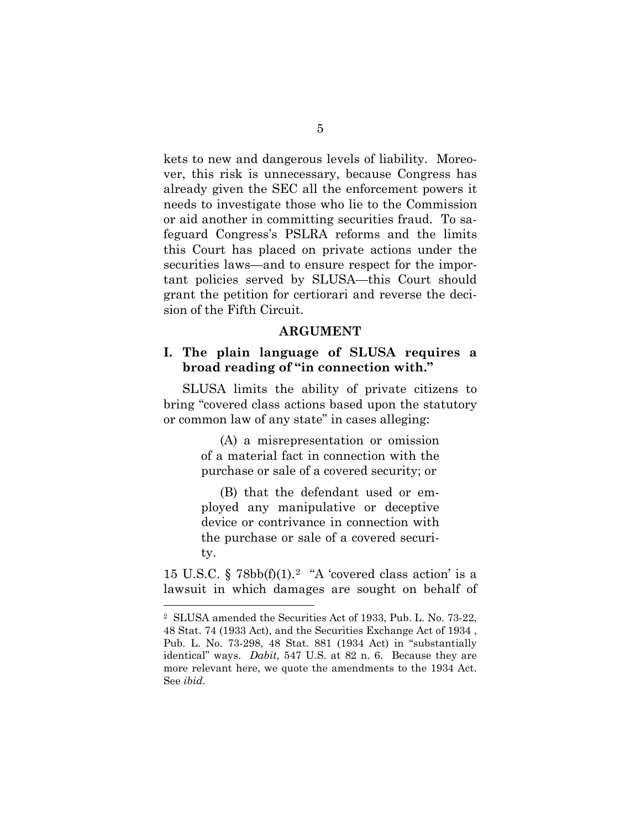kets to new and dangerous levels of liability. Moreover, this risk is unnecessary, because Congress has already given the SEC all the enforcement powers it needs to investigate those who lie to the Commission or aid another in committing securities fraud. To safeguard Congress's PSLRA reforms and the limits this Court has placed on private actions under the securities laws—and to ensure respect for the important policies served by SLUSA—this Court should grant the petition for certiorari and reverse the decision of the Fifth Circuit.

#### **ARGUMENT**

### **I. The plain language of SLUSA requires a broad reading of "in connection with."**

SLUSA limits the ability of private citizens to bring "covered class actions based upon the statutory or common law of any state" in cases alleging:

> (A) a misrepresentation or omission of a material fact in connection with the purchase or sale of a covered security; or

> (B) that the defendant used or employed any manipulative or deceptive device or contrivance in connection with the purchase or sale of a covered security.

15 U.S.C.  $\S$  78bb(f)(1).<sup>[2](#page-14-0)</sup> "A 'covered class action' is a lawsuit in which damages are sought on behalf of

<span id="page-14-0"></span> <sup>2</sup> SLUSA amended the Securities Act of 1933, Pub. L. No. 73-22, 48 Stat. 74 (1933 Act), and the Securities Exchange Act of 1934 , Pub. L. No. 73-298, 48 Stat. 881 (1934 Act) in "substantially identical" ways. *Dabit,* 547 U.S. at 82 n. 6. Because they are more relevant here, we quote the amendments to the 1934 Act. See *ibid.*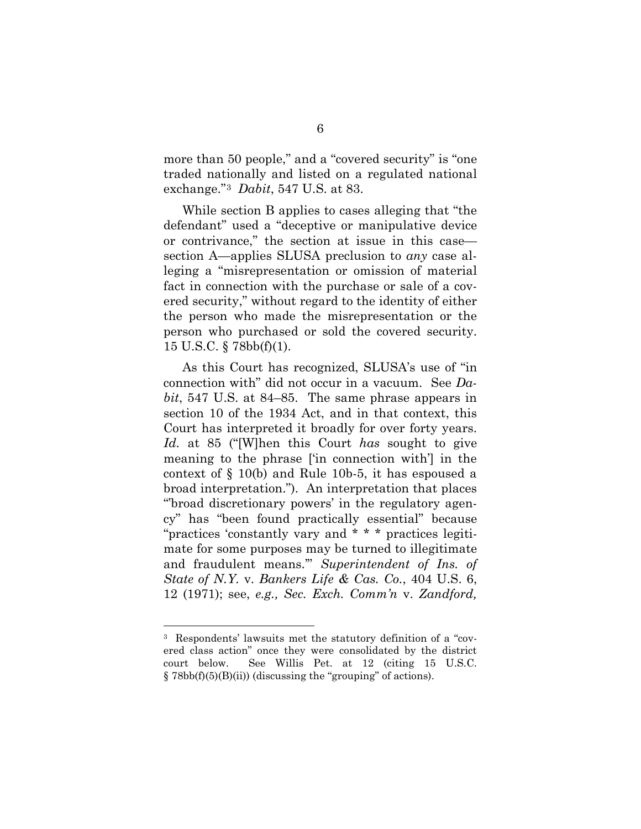more than 50 people," and a "covered security" is "one traded nationally and listed on a regulated national exchange."[3](#page-15-0) *Dabit*, 547 U.S. at 83.

While section B applies to cases alleging that "the defendant" used a "deceptive or manipulative device or contrivance," the section at issue in this case section A—applies SLUSA preclusion to *any* case alleging a "misrepresentation or omission of material fact in connection with the purchase or sale of a covered security," without regard to the identity of either the person who made the misrepresentation or the person who purchased or sold the covered security. 15 U.S.C. § 78bb(f)(1).

As this Court has recognized, SLUSA's use of "in connection with" did not occur in a vacuum. See *Dabit*, 547 U.S. at 84–85. The same phrase appears in section 10 of the 1934 Act, and in that context, this Court has interpreted it broadly for over forty years. *Id.* at 85 ("[W]hen this Court *has* sought to give meaning to the phrase ['in connection with'] in the context of § 10(b) and Rule 10b-5, it has espoused a broad interpretation."). An interpretation that places "'broad discretionary powers' in the regulatory agency" has "been found practically essential" because "practices 'constantly vary and \* \* \* practices legitimate for some purposes may be turned to illegitimate and fraudulent means.'" *Superintendent of Ins. of State of N.Y.* v. *Bankers Life & Cas. Co.*, 404 U.S. 6, 12 (1971); see, *e.g., Sec. Exch. Comm'n* v. *Zandford,*

<span id="page-15-0"></span> <sup>3</sup> Respondents' lawsuits met the statutory definition of a "covered class action" once they were consolidated by the district court below. See Willis Pet. at 12 (citing 15 U.S.C.  $\S 78bb(f)(5)(B)(ii)$  (discussing the "grouping" of actions).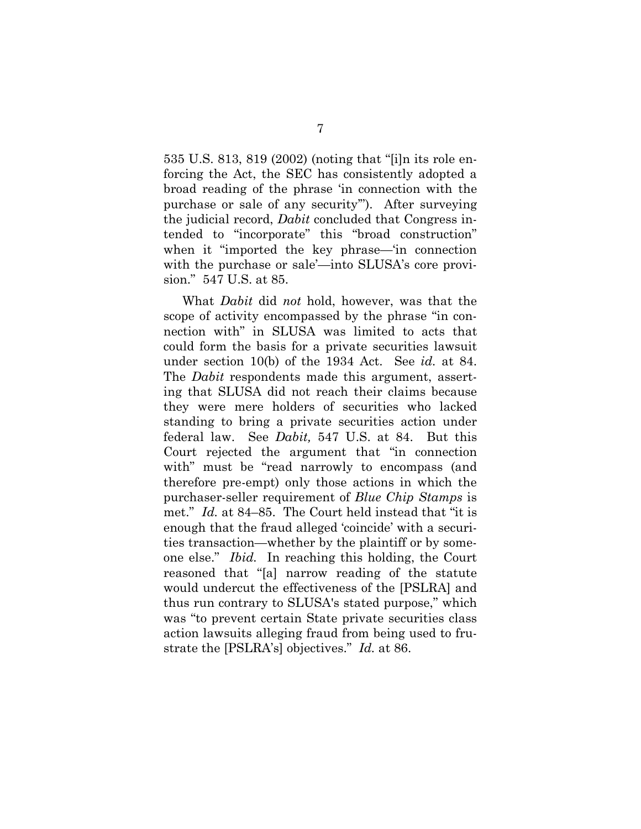535 U.S. 813, 819 (2002) (noting that "[i]n its role enforcing the Act, the SEC has consistently adopted a broad reading of the phrase 'in connection with the purchase or sale of any security'"). After surveying the judicial record, *Dabit* concluded that Congress intended to "incorporate" this "broad construction" when it "imported the key phrase—'in connection with the purchase or sale'—into SLUSA's core provision." 547 U.S. at 85.

What *Dabit* did *not* hold, however, was that the scope of activity encompassed by the phrase "in connection with" in SLUSA was limited to acts that could form the basis for a private securities lawsuit under section 10(b) of the 1934 Act. See *id.* at 84. The *Dabit* respondents made this argument, asserting that SLUSA did not reach their claims because they were mere holders of securities who lacked standing to bring a private securities action under federal law. See *Dabit,* 547 U.S. at 84. But this Court rejected the argument that "in connection with" must be "read narrowly to encompass (and therefore pre-empt) only those actions in which the purchaser-seller requirement of *Blue Chip Stamps* is met." *Id.* at 84–85. The Court held instead that "it is enough that the fraud alleged 'coincide' with a securities transaction—whether by the plaintiff or by someone else." *Ibid.* In reaching this holding, the Court reasoned that "[a] narrow reading of the statute would undercut the effectiveness of the [PSLRA] and thus run contrary to SLUSA's stated purpose," which was "to prevent certain State private securities class action lawsuits alleging fraud from being used to frustrate the [PSLRA's] objectives." *Id.* at 86.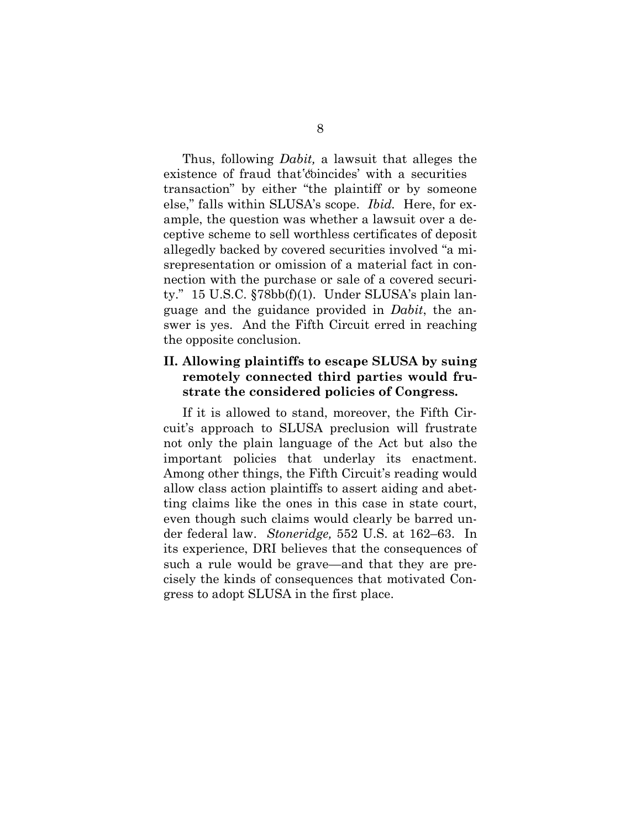Thus, following *Dabit,* a lawsuit that alleges the existence of fraud that coincides' with a securities transaction" by either "the plaintiff or by someone else," falls within SLUSA's scope. *Ibid.* Here, for example, the question was whether a lawsuit over a deceptive scheme to sell worthless certificates of deposit allegedly backed by covered securities involved "a misrepresentation or omission of a material fact in connection with the purchase or sale of a covered security."15 U.S.C. §78bb(f)(1).Under SLUSA's plain language and the guidance provided in *Dabit*, the answer is yes. And the Fifth Circuit erred in reaching the opposite conclusion.

### **II. Allowing plaintiffs to escape SLUSA by suing remotely connected third parties would frustrate the considered policies of Congress.**

If it is allowed to stand, moreover, the Fifth Circuit's approach to SLUSA preclusion will frustrate not only the plain language of the Act but also the important policies that underlay its enactment. Among other things, the Fifth Circuit's reading would allow class action plaintiffs to assert aiding and abetting claims like the ones in this case in state court, even though such claims would clearly be barred under federal law. *Stoneridge,* 552 U.S. at 162–63. In its experience, DRI believes that the consequences of such a rule would be grave—and that they are precisely the kinds of consequences that motivated Congress to adopt SLUSA in the first place.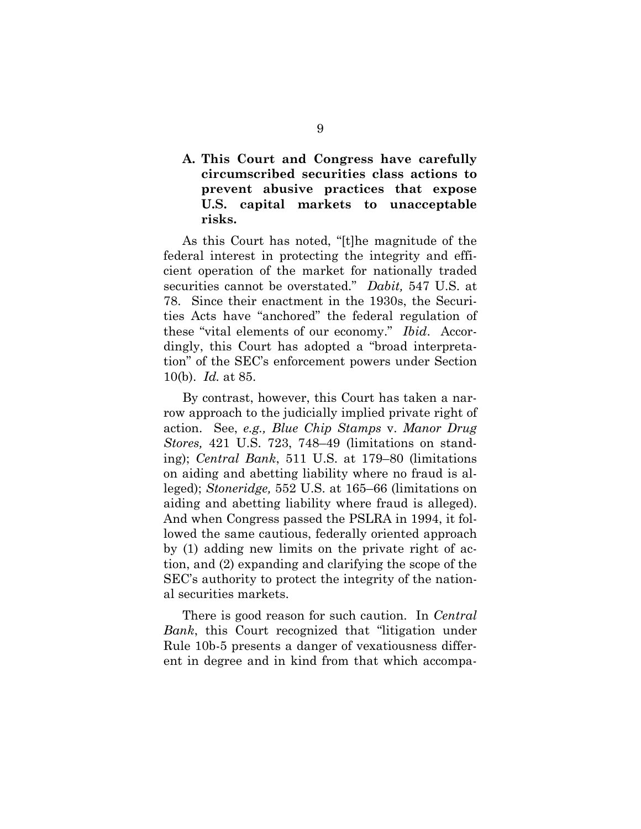### **A. This Court and Congress have carefully circumscribed securities class actions to prevent abusive practices that expose U.S. capital markets to unacceptable risks.**

As this Court has noted, "[t]he magnitude of the federal interest in protecting the integrity and efficient operation of the market for nationally traded securities cannot be overstated." *Dabit,* 547 U.S. at 78. Since their enactment in the 1930s, the Securities Acts have "anchored" the federal regulation of these "vital elements of our economy." *Ibid*. Accordingly, this Court has adopted a "broad interpretation" of the SEC's enforcement powers under Section 10(b). *Id.* at 85.

By contrast, however, this Court has taken a narrow approach to the judicially implied private right of action. See, *e.g., Blue Chip Stamps* v. *Manor Drug Stores,* 421 U.S. 723, 748–49 (limitations on standing); *Central Bank*, 511 U.S. at 179–80 (limitations on aiding and abetting liability where no fraud is alleged); *Stoneridge,* 552 U.S. at 165–66 (limitations on aiding and abetting liability where fraud is alleged). And when Congress passed the PSLRA in 1994, it followed the same cautious, federally oriented approach by (1) adding new limits on the private right of action, and (2) expanding and clarifying the scope of the SEC's authority to protect the integrity of the national securities markets.

There is good reason for such caution. In *Central Bank*, this Court recognized that "litigation under Rule 10b-5 presents a danger of vexatiousness different in degree and in kind from that which accompa-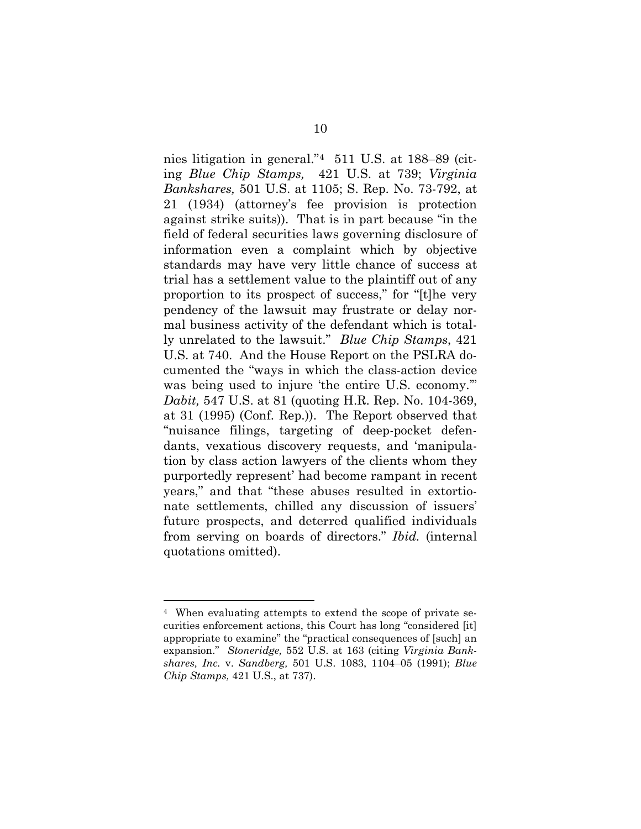nies litigation in general."[4](#page-19-0) 511 U.S. at 188–89 (citing *Blue Chip Stamps,* 421 U.S. at 739; *Virginia Bankshares,* 501 U.S. at 1105; S. Rep. No. 73-792, at 21 (1934) (attorney's fee provision is protection against strike suits)). That is in part because "in the field of federal securities laws governing disclosure of information even a complaint which by objective standards may have very little chance of success at trial has a settlement value to the plaintiff out of any proportion to its prospect of success," for "[t]he very pendency of the lawsuit may frustrate or delay normal business activity of the defendant which is totally unrelated to the lawsuit." *Blue Chip Stamps*, 421 U.S. at 740. And the House Report on the PSLRA documented the "ways in which the class-action device was being used to injure 'the entire U.S. economy." *Dabit,* 547 U.S. at 81 (quoting H.R. Rep. No. 104-369, at 31 (1995) (Conf. Rep.)). The Report observed that "nuisance filings, targeting of deep-pocket defendants, vexatious discovery requests, and 'manipulation by class action lawyers of the clients whom they purportedly represent' had become rampant in recent years," and that "these abuses resulted in extortionate settlements, chilled any discussion of issuers' future prospects, and deterred qualified individuals from serving on boards of directors." *Ibid.* (internal quotations omitted).

<span id="page-19-0"></span> <sup>4</sup> When evaluating attempts to extend the scope of private securities enforcement actions, this Court has long "considered [it] appropriate to examine" the "practical consequences of [such] an expansion." *Stoneridge,* 552 U.S. at 163 (citing *Virginia Bankshares, Inc.* v. *Sandberg,* 501 U.S. 1083, 1104–05 (1991); *Blue Chip Stamps,* 421 U.S., at 737).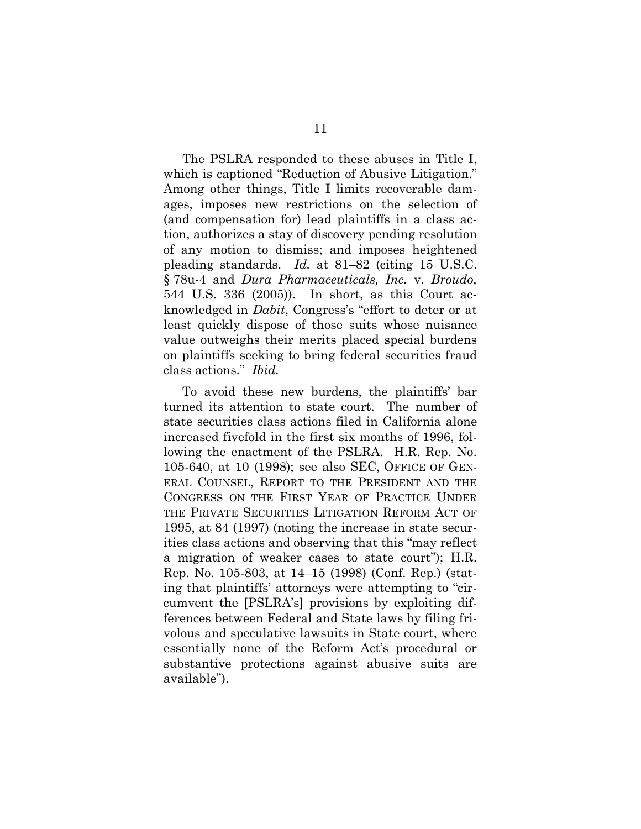The PSLRA responded to these abuses in Title I, which is captioned "Reduction of Abusive Litigation." Among other things, Title I limits recoverable damages, imposes new restrictions on the selection of (and compensation for) lead plaintiffs in a class action, authorizes a stay of discovery pending resolution of any motion to dismiss; and imposes heightened pleading standards. *Id.* at 81–82 (citing 15 U.S.C. § 78u-4 and *Dura Pharmaceuticals, Inc.* v. *Broudo,* 544 U.S. 336 (2005)). In short, as this Court acknowledged in *Dabit*, Congress's "effort to deter or at least quickly dispose of those suits whose nuisance value outweighs their merits placed special burdens on plaintiffs seeking to bring federal securities fraud class actions." *Ibid.*

To avoid these new burdens, the plaintiffs' bar turned its attention to state court. The number of state securities class actions filed in California alone increased fivefold in the first six months of 1996, following the enactment of the PSLRA. H.R. Rep. No. 105-640, at 10 (1998); see also SEC, OFFICE OF GEN-ERAL COUNSEL, REPORT TO THE PRESIDENT AND THE CONGRESS ON THE FIRST YEAR OF PRACTICE UNDER THE PRIVATE SECURITIES LITIGATION REFORM ACT OF 1995, at 84 (1997) (noting the increase in state securities class actions and observing that this "may reflect a migration of weaker cases to state court"); H.R. Rep. No. 105-803, at 14–15 (1998) (Conf. Rep.) (stating that plaintiffs' attorneys were attempting to "circumvent the [PSLRA's] provisions by exploiting differences between Federal and State laws by filing frivolous and speculative lawsuits in State court, where essentially none of the Reform Act's procedural or substantive protections against abusive suits are available").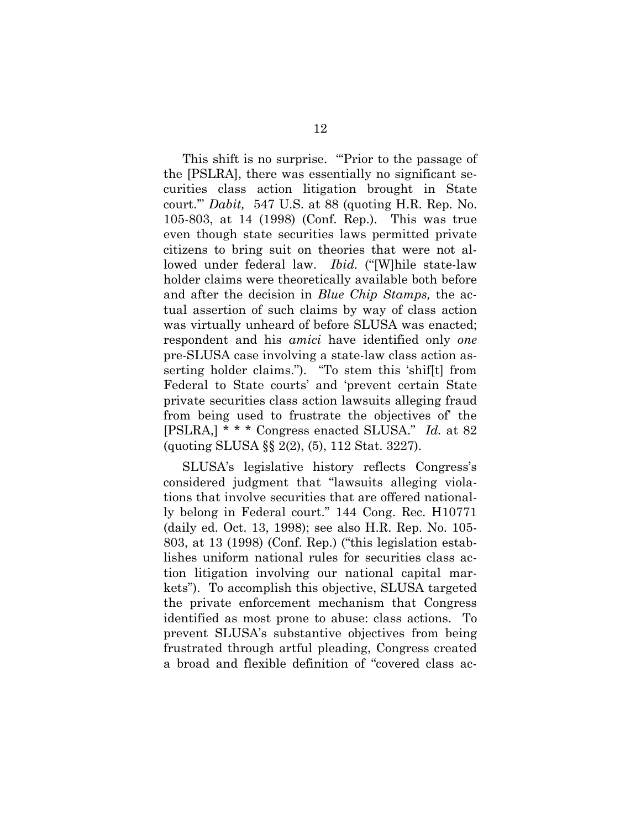This shift is no surprise. "Prior to the passage of the [PSLRA], there was essentially no significant securities class action litigation brought in State court.'" *Dabit,* 547 U.S. at 88 (quoting H.R. Rep. No. 105-803, at 14 (1998) (Conf. Rep.). This was true even though state securities laws permitted private citizens to bring suit on theories that were not allowed under federal law. *Ibid.* ("[W]hile state-law holder claims were theoretically available both before and after the decision in *Blue Chip Stamps,* the actual assertion of such claims by way of class action was virtually unheard of before SLUSA was enacted; respondent and his *amici* have identified only *one* pre-SLUSA case involving a state-law class action asserting holder claims."). "To stem this 'shif[t] from Federal to State courts' and 'prevent certain State private securities class action lawsuits alleging fraud from being used to frustrate the objectives of' the [PSLRA,] \* \* \* Congress enacted SLUSA." *Id.* at 82 (quoting SLUSA §§ 2(2), (5), 112 Stat. 3227).

SLUSA's legislative history reflects Congress's considered judgment that "lawsuits alleging violations that involve securities that are offered nationally belong in Federal court." 144 Cong. Rec. H10771 (daily ed. Oct. 13, 1998); see also H.R. Rep. No. 105- 803, at 13 (1998) (Conf. Rep.) ("this legislation establishes uniform national rules for securities class action litigation involving our national capital markets"). To accomplish this objective, SLUSA targeted the private enforcement mechanism that Congress identified as most prone to abuse: class actions. To prevent SLUSA's substantive objectives from being frustrated through artful pleading, Congress created a broad and flexible definition of "covered class ac-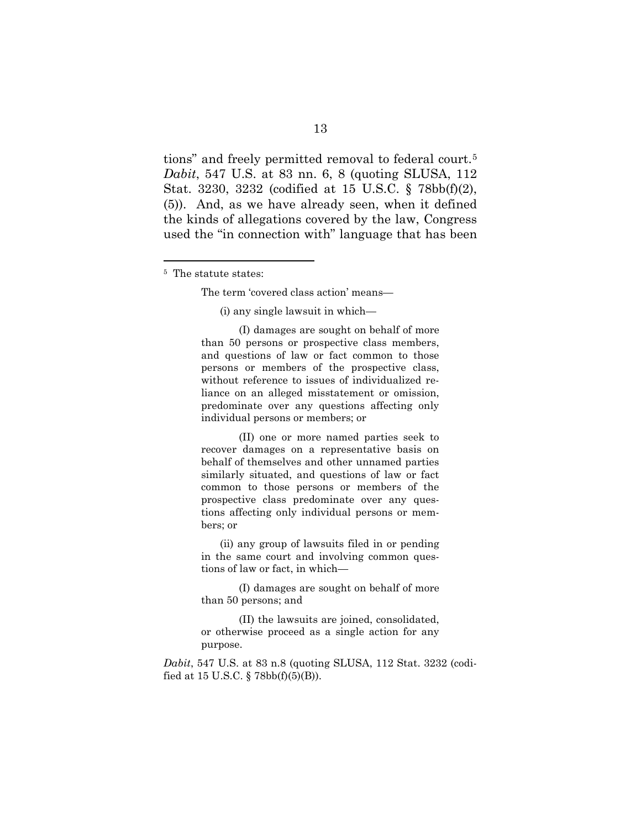tions" and freely permitted removal to federal court.[5](#page-22-0) *Dabit*, 547 U.S. at 83 nn. 6, 8 (quoting SLUSA, 112 Stat. 3230, 3232 (codified at 15 U.S.C. § 78bb(f)(2), (5)). And, as we have already seen, when it defined the kinds of allegations covered by the law, Congress used the "in connection with" language that has been

<span id="page-22-0"></span>5 The statute states:

The term 'covered class action' means—

(i) any single lawsuit in which—

(I) damages are sought on behalf of more than 50 persons or prospective class members, and questions of law or fact common to those persons or members of the prospective class, without reference to issues of individualized reliance on an alleged misstatement or omission, predominate over any questions affecting only individual persons or members; or

(II) one or more named parties seek to recover damages on a representative basis on behalf of themselves and other unnamed parties similarly situated, and questions of law or fact common to those persons or members of the prospective class predominate over any questions affecting only individual persons or members; or

(ii) any group of lawsuits filed in or pending in the same court and involving common questions of law or fact, in which—

(I) damages are sought on behalf of more than 50 persons; and

(II) the lawsuits are joined, consolidated, or otherwise proceed as a single action for any purpose.

*Dabit*, 547 U.S. at 83 n.8 (quoting SLUSA, 112 Stat. 3232 (codified at 15 U.S.C.  $\S$  78bb(f)(5)(B)).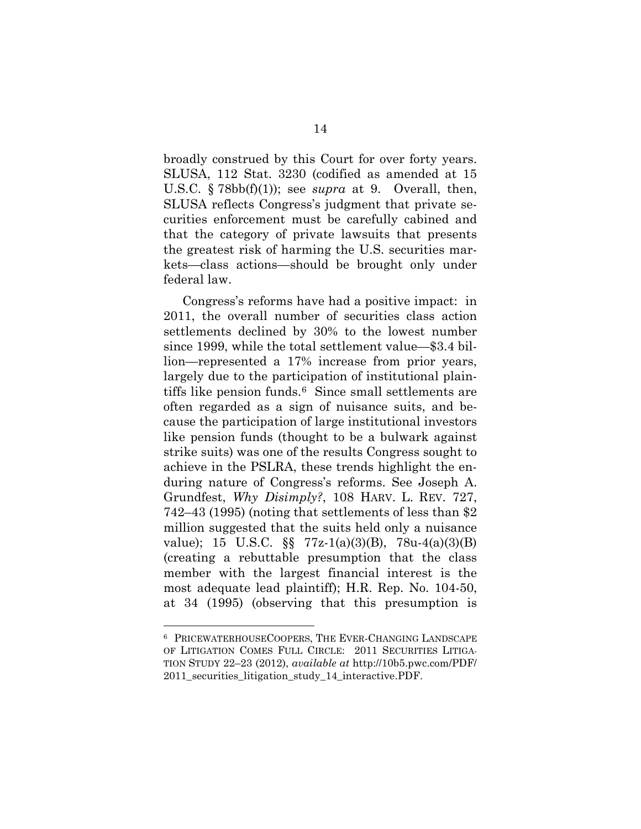broadly construed by this Court for over forty years. SLUSA, 112 Stat. 3230 (codified as amended at 15 U.S.C. § 78bb(f)(1)); see *supra* at 9. Overall, then, SLUSA reflects Congress's judgment that private securities enforcement must be carefully cabined and that the category of private lawsuits that presents the greatest risk of harming the U.S. securities markets—class actions—should be brought only under federal law.

Congress's reforms have had a positive impact: in 2011, the overall number of securities class action settlements declined by 30% to the lowest number since 1999, while the total settlement value—\$3.4 billion—represented a 17% increase from prior years, largely due to the participation of institutional plaintiffs like pension funds.[6](#page-23-0) Since small settlements are often regarded as a sign of nuisance suits, and because the participation of large institutional investors like pension funds (thought to be a bulwark against strike suits) was one of the results Congress sought to achieve in the PSLRA, these trends highlight the enduring nature of Congress's reforms. See Joseph A. Grundfest, *Why Disimply?*, 108 HARV. L. REV. 727, 742–43 (1995) (noting that settlements of less than \$2 million suggested that the suits held only a nuisance value); 15 U.S.C. §§ 77z-1(a)(3)(B), 78u-4(a)(3)(B) (creating a rebuttable presumption that the class member with the largest financial interest is the most adequate lead plaintiff); H.R. Rep. No. 104-50, at 34 (1995) (observing that this presumption is

<span id="page-23-0"></span> <sup>6</sup> PRICEWATERHOUSECOOPERS, THE EVER-CHANGING LANDSCAPE OF LITIGATION COMES FULL CIRCLE: 2011 SECURITIES LITIGA-TION STUDY 22–23 (2012), *available at* http://10b5.pwc.com/PDF/ 2011\_securities\_litigation\_study\_14\_interactive.PDF.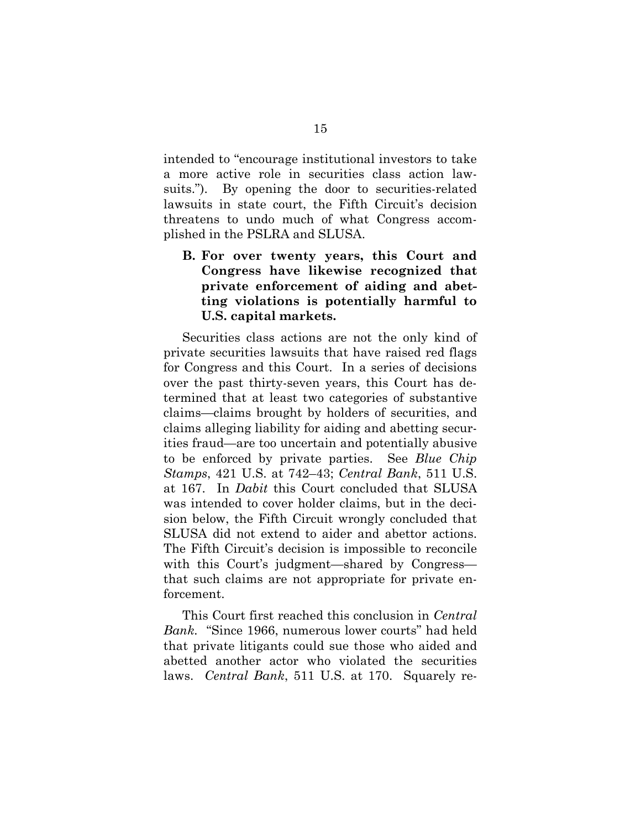intended to "encourage institutional investors to take a more active role in securities class action lawsuits."). By opening the door to securities-related lawsuits in state court, the Fifth Circuit's decision threatens to undo much of what Congress accomplished in the PSLRA and SLUSA.

**B. For over twenty years, this Court and Congress have likewise recognized that private enforcement of aiding and abetting violations is potentially harmful to U.S. capital markets.** 

Securities class actions are not the only kind of private securities lawsuits that have raised red flags for Congress and this Court. In a series of decisions over the past thirty-seven years, this Court has determined that at least two categories of substantive claims—claims brought by holders of securities, and claims alleging liability for aiding and abetting securities fraud—are too uncertain and potentially abusive to be enforced by private parties. See *Blue Chip Stamps*, 421 U.S. at 742–43; *Central Bank*, 511 U.S. at 167. In *Dabit* this Court concluded that SLUSA was intended to cover holder claims, but in the decision below, the Fifth Circuit wrongly concluded that SLUSA did not extend to aider and abettor actions. The Fifth Circuit's decision is impossible to reconcile with this Court's judgment—shared by Congress that such claims are not appropriate for private enforcement.

This Court first reached this conclusion in *Central Bank.* "Since 1966, numerous lower courts" had held that private litigants could sue those who aided and abetted another actor who violated the securities laws. *Central Bank*, 511 U.S. at 170. Squarely re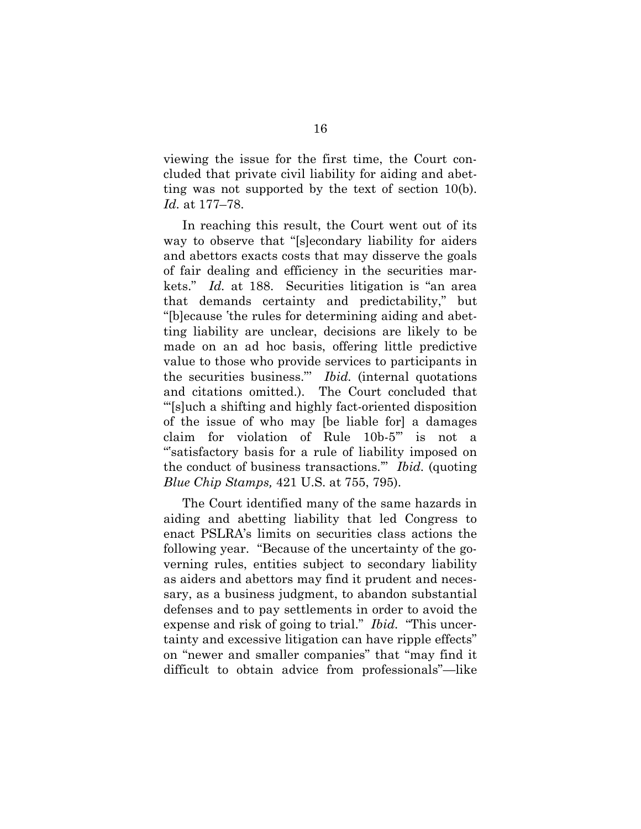viewing the issue for the first time, the Court concluded that private civil liability for aiding and abetting was not supported by the text of section 10(b). *Id.* at 177–78.

In reaching this result, the Court went out of its way to observe that "[s]econdary liability for aiders and abettors exacts costs that may disserve the goals of fair dealing and efficiency in the securities markets." *Id.* at 188. Securities litigation is "an area that demands certainty and predictability," but "[b]ecause 'the rules for determining aiding and abetting liability are unclear, decisions are likely to be made on an ad hoc basis, offering little predictive value to those who provide services to participants in the securities business."' *Ibid.* (internal quotations and citations omitted.). The Court concluded that "'[s]uch a shifting and highly fact-oriented disposition of the issue of who may [be liable for] a damages claim for violation of Rule 10b-5'" is not a "'satisfactory basis for a rule of liability imposed on the conduct of business transactions.'" *Ibid.* (quoting *Blue Chip Stamps,* 421 U.S. at 755, 795).

The Court identified many of the same hazards in aiding and abetting liability that led Congress to enact PSLRA's limits on securities class actions the following year. "Because of the uncertainty of the governing rules, entities subject to secondary liability as aiders and abettors may find it prudent and necessary, as a business judgment, to abandon substantial defenses and to pay settlements in order to avoid the expense and risk of going to trial." *Ibid.* "This uncertainty and excessive litigation can have ripple effects" on "newer and smaller companies" that "may find it difficult to obtain advice from professionals"—like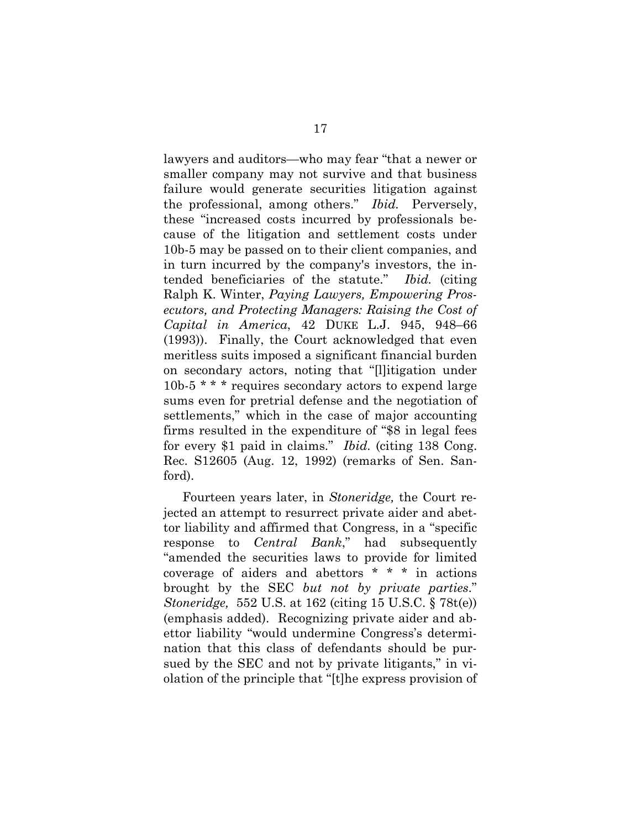lawyers and auditors—who may fear "that a newer or smaller company may not survive and that business failure would generate securities litigation against the professional, among others." *Ibid.* Perversely, these "increased costs incurred by professionals because of the litigation and settlement costs under 10b-5 may be passed on to their client companies, and in turn incurred by the company's investors, the intended beneficiaries of the statute." *Ibid.* (citing Ralph K. Winter, *Paying Lawyers, Empowering Prosecutors, and Protecting Managers: Raising the Cost of Capital in America*, 42 DUKE L.J. 945, 948–66 (1993)). Finally, the Court acknowledged that even meritless suits imposed a significant financial burden on secondary actors, noting that "[l]itigation under 10b-5 \* \* \* requires secondary actors to expend large sums even for pretrial defense and the negotiation of settlements," which in the case of major accounting firms resulted in the expenditure of "\$8 in legal fees for every \$1 paid in claims." *Ibid.* (citing 138 Cong. Rec. S12605 (Aug. 12, 1992) (remarks of Sen. Sanford).

Fourteen years later, in *Stoneridge,* the Court rejected an attempt to resurrect private aider and abettor liability and affirmed that Congress, in a "specific response to *Central Bank*," had subsequently "amended the securities laws to provide for limited coverage of aiders and abettors \* \* \* in actions brought by the SEC *but not by private parties*." *Stoneridge,* 552 U.S. at 162 (citing 15 U.S.C. § 78t(e)) (emphasis added). Recognizing private aider and abettor liability "would undermine Congress's determination that this class of defendants should be pursued by the SEC and not by private litigants," in violation of the principle that "[t]he express provision of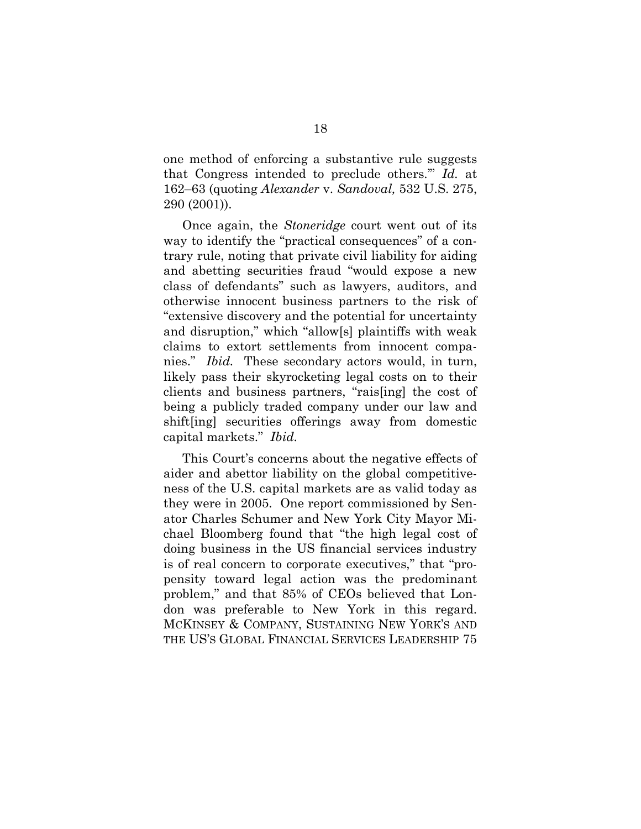one method of enforcing a substantive rule suggests that Congress intended to preclude others.'" *Id.* at 162–63 (quoting *Alexander* v. *Sandoval,* 532 U.S. 275, 290 (2001)).

Once again, the *Stoneridge* court went out of its way to identify the "practical consequences" of a contrary rule, noting that private civil liability for aiding and abetting securities fraud "would expose a new class of defendants" such as lawyers, auditors, and otherwise innocent business partners to the risk of "extensive discovery and the potential for uncertainty and disruption," which "allow[s] plaintiffs with weak claims to extort settlements from innocent companies." *Ibid.* These secondary actors would, in turn, likely pass their skyrocketing legal costs on to their clients and business partners, "rais[ing] the cost of being a publicly traded company under our law and shift[ing] securities offerings away from domestic capital markets." *Ibid.*

This Court's concerns about the negative effects of aider and abettor liability on the global competitiveness of the U.S. capital markets are as valid today as they were in 2005. One report commissioned by Senator Charles Schumer and New York City Mayor Michael Bloomberg found that "the high legal cost of doing business in the US financial services industry is of real concern to corporate executives," that "propensity toward legal action was the predominant problem," and that 85% of CEOs believed that London was preferable to New York in this regard. MCKINSEY & COMPANY, SUSTAINING NEW YORK'S AND THE US'S GLOBAL FINANCIAL SERVICES LEADERSHIP 75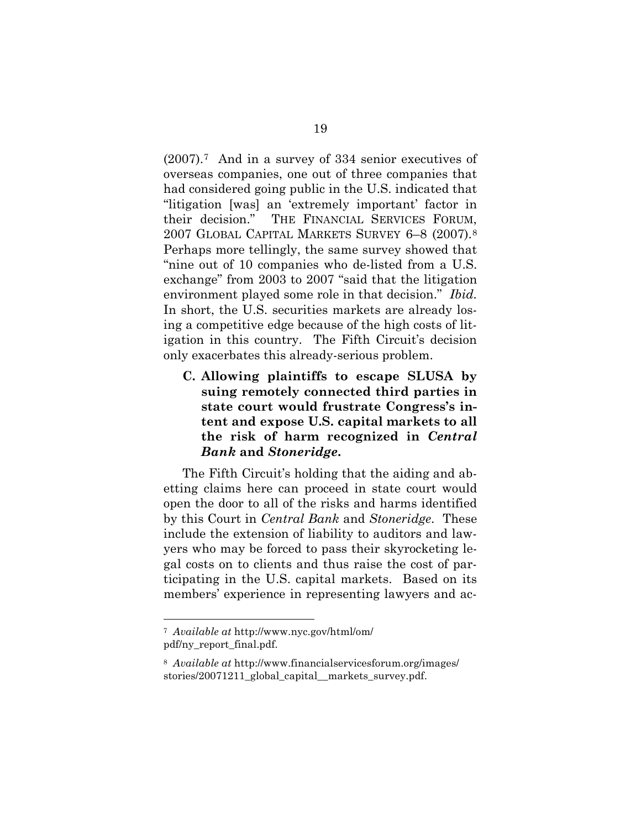(2007).[7](#page-28-0) And in a survey of 334 senior executives of overseas companies, one out of three companies that had considered going public in the U.S. indicated that "litigation [was] an 'extremely important' factor in their decision." THE FINANCIAL SERVICES FORUM, 2007 GLOBAL CAPITAL MARKETS SURVEY 6–8 (2007).[8](#page-28-1) Perhaps more tellingly, the same survey showed that "nine out of 10 companies who de-listed from a U.S. exchange" from 2003 to 2007 "said that the litigation environment played some role in that decision." *Ibid.* In short, the U.S. securities markets are already losing a competitive edge because of the high costs of litigation in this country. The Fifth Circuit's decision only exacerbates this already-serious problem.

**C. Allowing plaintiffs to escape SLUSA by suing remotely connected third parties in state court would frustrate Congress's intent and expose U.S. capital markets to all the risk of harm recognized in** *Central Bank* **and** *Stoneridge***.** 

The Fifth Circuit's holding that the aiding and abetting claims here can proceed in state court would open the door to all of the risks and harms identified by this Court in *Central Bank* and *Stoneridge*. These include the extension of liability to auditors and lawyers who may be forced to pass their skyrocketing legal costs on to clients and thus raise the cost of participating in the U.S. capital markets. Based on its members' experience in representing lawyers and ac-

<span id="page-28-0"></span> <sup>7</sup> *Available at* http://www.nyc.gov/html/om/ pdf/ny\_report\_final.pdf.

<span id="page-28-1"></span><sup>8</sup> *Available at* http://www.financialservicesforum.org/images/ stories/20071211\_global\_capital\_\_markets\_survey.pdf.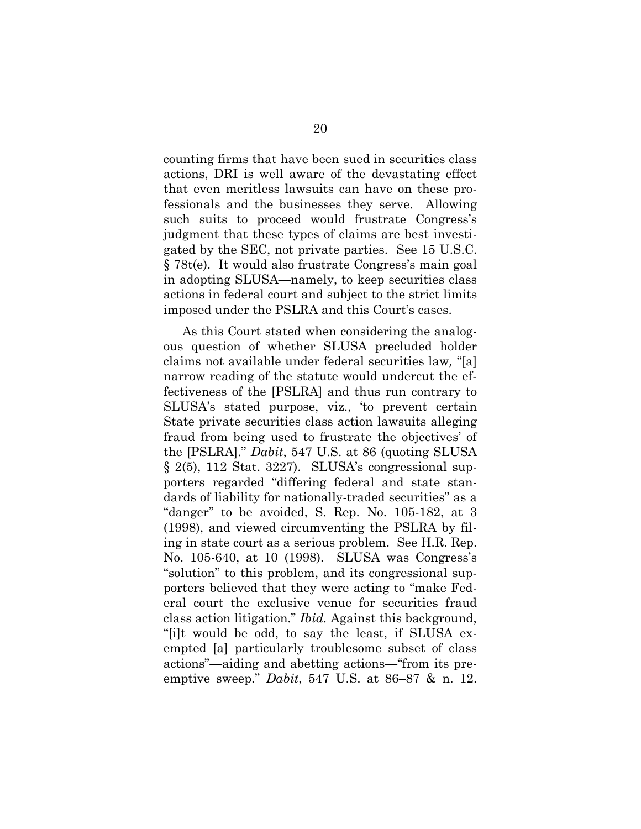counting firms that have been sued in securities class actions, DRI is well aware of the devastating effect that even meritless lawsuits can have on these professionals and the businesses they serve. Allowing such suits to proceed would frustrate Congress's judgment that these types of claims are best investigated by the SEC, not private parties. See 15 U.S.C. § 78t(e). It would also frustrate Congress's main goal in adopting SLUSA—namely, to keep securities class actions in federal court and subject to the strict limits imposed under the PSLRA and this Court's cases.

As this Court stated when considering the analogous question of whether SLUSA precluded holder claims not available under federal securities law*,* "[a] narrow reading of the statute would undercut the effectiveness of the [PSLRA] and thus run contrary to SLUSA's stated purpose, viz., 'to prevent certain State private securities class action lawsuits alleging fraud from being used to frustrate the objectives' of the [PSLRA]." *Dabit*, 547 U.S. at 86 (quoting SLUSA § 2(5), 112 Stat. 3227). SLUSA's congressional supporters regarded "differing federal and state standards of liability for nationally-traded securities" as a "danger" to be avoided, S. Rep. No. 105-182, at 3 (1998), and viewed circumventing the PSLRA by filing in state court as a serious problem. See H.R. Rep. No. 105-640, at 10 (1998). SLUSA was Congress's "solution" to this problem, and its congressional supporters believed that they were acting to "make Federal court the exclusive venue for securities fraud class action litigation." *Ibid.* Against this background, "[i]t would be odd, to say the least, if SLUSA exempted [a] particularly troublesome subset of class actions"—aiding and abetting actions—"from its preemptive sweep." *Dabit*, 547 U.S. at 86–87 & n. 12.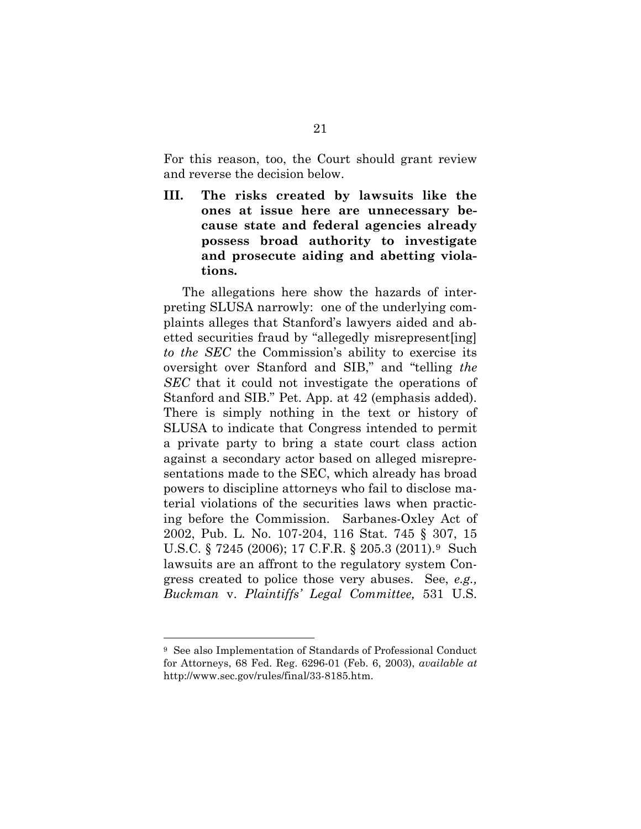For this reason, too, the Court should grant review and reverse the decision below.

**III. The risks created by lawsuits like the ones at issue here are unnecessary because state and federal agencies already possess broad authority to investigate and prosecute aiding and abetting violations.** 

The allegations here show the hazards of interpreting SLUSA narrowly: one of the underlying complaints alleges that Stanford's lawyers aided and abetted securities fraud by "allegedly misrepresent[ing] *to the SEC* the Commission's ability to exercise its oversight over Stanford and SIB," and "telling *the SEC* that it could not investigate the operations of Stanford and SIB." Pet. App. at 42 (emphasis added). There is simply nothing in the text or history of SLUSA to indicate that Congress intended to permit a private party to bring a state court class action against a secondary actor based on alleged misrepresentations made to the SEC, which already has broad powers to discipline attorneys who fail to disclose material violations of the securities laws when practicing before the Commission. Sarbanes-Oxley Act of 2002, Pub. L. No. 107-204, 116 Stat. 745 § 307, 15 U.S.C. § 7245 (2006); 17 C.F.R. § 205.3 (2011).[9](#page-30-0) Such lawsuits are an affront to the regulatory system Congress created to police those very abuses. See, *e.g., Buckman* v. *Plaintiffs' Legal Committee,* 531 U.S.

<span id="page-30-0"></span> <sup>9</sup> See also Implementation of Standards of Professional Conduct for Attorneys, 68 Fed. Reg. 6296-01 (Feb. 6, 2003), *available at*  http://www.sec.gov/rules/final/33-8185.htm.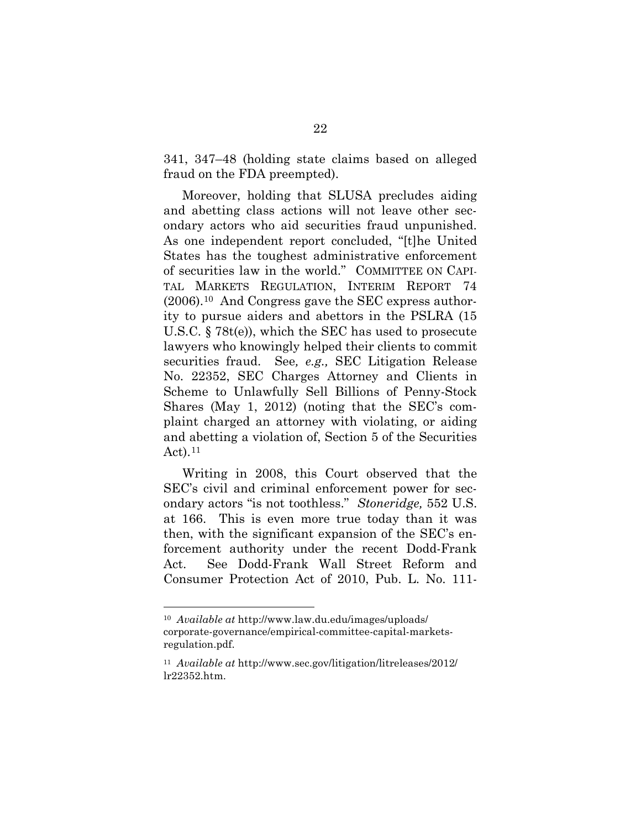341, 347–48 (holding state claims based on alleged fraud on the FDA preempted).

Moreover, holding that SLUSA precludes aiding and abetting class actions will not leave other secondary actors who aid securities fraud unpunished. As one independent report concluded, "[t]he United States has the toughest administrative enforcement of securities law in the world." COMMITTEE ON CAPI-TAL MARKETS REGULATION, INTERIM REPORT 74 (2006).[10](#page-31-0) And Congress gave the SEC express authority to pursue aiders and abettors in the PSLRA (15 U.S.C. § 78t(e)), which the SEC has used to prosecute lawyers who knowingly helped their clients to commit securities fraud. See*, e.g.,* SEC Litigation Release No. 22352, SEC Charges Attorney and Clients in Scheme to Unlawfully Sell Billions of Penny-Stock Shares (May 1, 2012) (noting that the SEC's complaint charged an attorney with violating, or aiding and abetting a violation of, Section 5 of the Securities Act). $^{11}$  $^{11}$  $^{11}$ 

Writing in 2008, this Court observed that the SEC's civil and criminal enforcement power for secondary actors "is not toothless." *Stoneridge,* 552 U.S. at 166. This is even more true today than it was then, with the significant expansion of the SEC's enforcement authority under the recent Dodd-Frank Act. See Dodd-Frank Wall Street Reform and Consumer Protection Act of 2010, Pub. L. No. 111-

<span id="page-31-0"></span> <sup>10</sup> *Available at* http://www.law.du.edu/images/uploads/ corporate-governance/empirical-committee-capital-marketsregulation.pdf.

<span id="page-31-1"></span><sup>11</sup> *Available at* http://www.sec.gov/litigation/litreleases/2012/ lr22352.htm.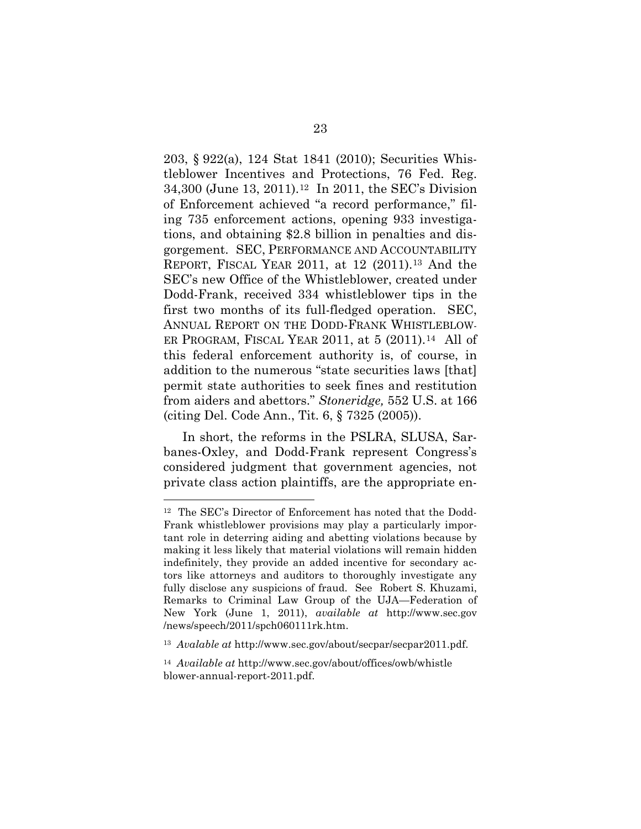203, § 922(a), 124 Stat 1841 (2010); Securities Whistleblower Incentives and Protections, 76 Fed. Reg. 34,300 (June 13, 2011).[12](#page-32-0) In 2011, the SEC's Division of Enforcement achieved "a record performance," filing 735 enforcement actions, opening 933 investigations, and obtaining \$2.8 billion in penalties and disgorgement. SEC, PERFORMANCE AND ACCOUNTABILITY REPORT, FISCAL YEAR 2011, at 12 (2011)[.13](#page-32-1) And the SEC's new Office of the Whistleblower, created under Dodd-Frank, received 334 whistleblower tips in the first two months of its full-fledged operation. SEC, ANNUAL REPORT ON THE DODD-FRANK WHISTLEBLOW-ER PROGRAM, FISCAL YEAR 2011, at 5 (2011).<sup>[14](#page-32-2)</sup> All of this federal enforcement authority is, of course, in addition to the numerous "state securities laws [that] permit state authorities to seek fines and restitution from aiders and abettors." *Stoneridge,* 552 U.S. at 166 (citing Del. Code Ann., Tit. 6, § 7325 (2005)).

In short, the reforms in the PSLRA, SLUSA, Sarbanes-Oxley, and Dodd-Frank represent Congress's considered judgment that government agencies, not private class action plaintiffs, are the appropriate en-

<span id="page-32-0"></span> <sup>12</sup> The SEC's Director of Enforcement has noted that the Dodd-Frank whistleblower provisions may play a particularly important role in deterring aiding and abetting violations because by making it less likely that material violations will remain hidden indefinitely, they provide an added incentive for secondary actors like attorneys and auditors to thoroughly investigate any fully disclose any suspicions of fraud. See Robert S. Khuzami, Remarks to Criminal Law Group of the UJA—Federation of New York (June 1, 2011), *available at* http://www.sec.gov /news/speech/2011/spch060111rk.htm.

<span id="page-32-1"></span><sup>&</sup>lt;sup>13</sup> *Avalable at http://www.sec.gov/about/secpar/secpar2011.pdf.* 

<span id="page-32-2"></span><sup>14</sup> *Available at* http://www.sec.gov/about/offices/owb/whistle blower-annual-report-2011.pdf.